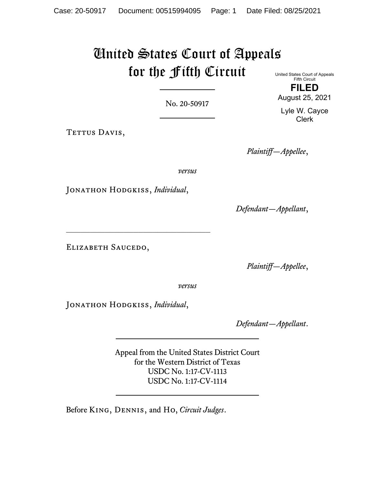# United States Court of Appeals for the Fifth Circuit United States Court of Appeals

No. 20-50917

TETTUS DAVIS,

*Plaintiff—Appellee*,

*versus*

Jonathon Hodgkiss, *Individual*,

\_\_\_\_\_\_\_\_\_\_\_\_\_\_\_\_\_\_\_\_\_\_\_\_\_\_\_\_\_\_

*Defendant—Appellant*,

ELIZABETH SAUCEDO,

*Plaintiff—Appellee*,

*versus*

Jonathon Hodgkiss, *Individual*,

*Defendant—Appellant*.

Appeal from the United States District Court for the Western District of Texas USDC No. 1:17-CV-1113 USDC No. 1:17-CV-1114

Before King, Dennis, and Ho, *Circuit Judges*.

Fifth Circuit **FILED** August 25, 2021

Lyle W. Cayce Clerk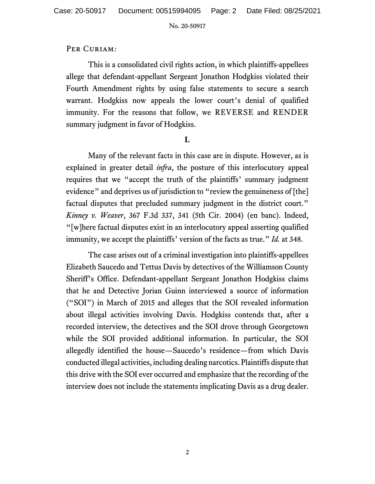## PER CURIAM:

This is a consolidated civil rights action, in which plaintiffs-appellees allege that defendant-appellant Sergeant Jonathon Hodgkiss violated their Fourth Amendment rights by using false statements to secure a search warrant. Hodgkiss now appeals the lower court's denial of qualified immunity. For the reasons that follow, we REVERSE and RENDER summary judgment in favor of Hodgkiss.

## **I.**

Many of the relevant facts in this case are in dispute. However, as is explained in greater detail *infra*, the posture of this interlocutory appeal requires that we "accept the truth of the plaintiffs' summary judgment evidence" and deprives us of jurisdiction to "review the genuineness of [the] factual disputes that precluded summary judgment in the district court." *Kinney v. Weaver*, 367 F.3d 337, 341 (5th Cir. 2004) (en banc). Indeed, "[w]here factual disputes exist in an interlocutory appeal asserting qualified immunity, we accept the plaintiffs' version of the facts as true." *Id.* at 348.

The case arises out of a criminal investigation into plaintiffs-appellees Elizabeth Saucedo and Tettus Davis by detectives of the Williamson County Sheriff's Office. Defendant-appellant Sergeant Jonathon Hodgkiss claims that he and Detective Jorian Guinn interviewed a source of information ("SOI") in March of 2015 and alleges that the SOI revealed information about illegal activities involving Davis. Hodgkiss contends that, after a recorded interview, the detectives and the SOI drove through Georgetown while the SOI provided additional information. In particular, the SOI allegedly identified the house—Saucedo's residence—from which Davis conducted illegal activities, including dealing narcotics. Plaintiffs dispute that this drive with the SOI ever occurred and emphasize that the recording of the interview does not include the statements implicating Davis as a drug dealer.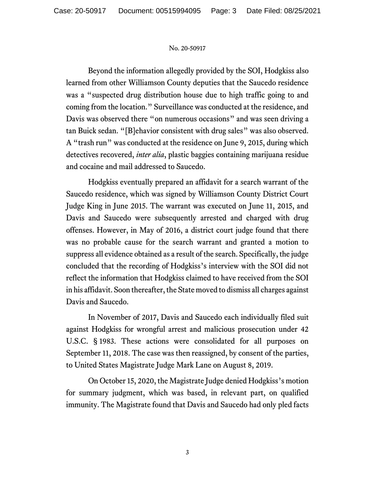Beyond the information allegedly provided by the SOI, Hodgkiss also learned from other Williamson County deputies that the Saucedo residence was a "suspected drug distribution house due to high traffic going to and coming from the location." Surveillance was conducted at the residence, and Davis was observed there "on numerous occasions" and was seen driving a tan Buick sedan. "[B]ehavior consistent with drug sales" was also observed. A "trash run" was conducted at the residence on June 9, 2015, during which detectives recovered, *inter alia*, plastic baggies containing marijuana residue and cocaine and mail addressed to Saucedo.

Hodgkiss eventually prepared an affidavit for a search warrant of the Saucedo residence, which was signed by Williamson County District Court Judge King in June 2015. The warrant was executed on June 11, 2015, and Davis and Saucedo were subsequently arrested and charged with drug offenses. However, in May of 2016, a district court judge found that there was no probable cause for the search warrant and granted a motion to suppress all evidence obtained as a result of the search. Specifically, the judge concluded that the recording of Hodgkiss's interview with the SOI did not reflect the information that Hodgkiss claimed to have received from the SOI in his affidavit. Soon thereafter, the State moved to dismiss all charges against Davis and Saucedo.

In November of 2017, Davis and Saucedo each individually filed suit against Hodgkiss for wrongful arrest and malicious prosecution under 42 U.S.C. § 1983. These actions were consolidated for all purposes on September 11, 2018. The case was then reassigned, by consent of the parties, to United States Magistrate Judge Mark Lane on August 8, 2019.

On October 15, 2020, the Magistrate Judge denied Hodgkiss's motion for summary judgment, which was based, in relevant part, on qualified immunity. The Magistrate found that Davis and Saucedo had only pled facts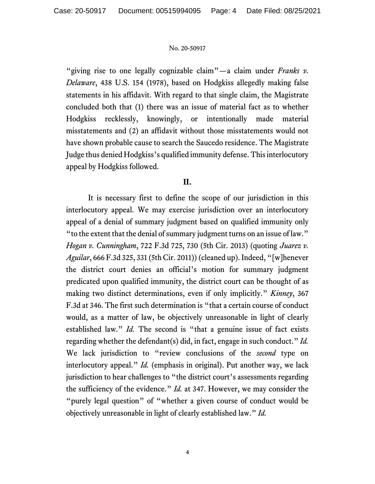"giving rise to one legally cognizable claim"—a claim under *Franks v*. *Delaware*, 438 U.S. 154 (1978), based on Hodgkiss allegedly making false statements in his affidavit. With regard to that single claim, the Magistrate concluded both that (1) there was an issue of material fact as to whether Hodgkiss recklessly, knowingly, or intentionally made material misstatements and (2) an affidavit without those misstatements would not have shown probable cause to search the Saucedo residence. The Magistrate Judge thus denied Hodgkiss's qualified immunity defense. This interlocutory appeal by Hodgkiss followed.

## **II.**

It is necessary first to define the scope of our jurisdiction in this interlocutory appeal. We may exercise jurisdiction over an interlocutory appeal of a denial of summary judgment based on qualified immunity only "to the extent that the denial of summary judgment turns on an issue of law." *Hogan v. Cunningham*, 722 F.3d 725, 730 (5th Cir. 2013) (quoting *Juarez v. Aguilar*, 666 F.3d 325, 331 (5th Cir. 2011)) (cleaned up). Indeed, "[w]henever the district court denies an official's motion for summary judgment predicated upon qualified immunity, the district court can be thought of as making two distinct determinations, even if only implicitly." *Kinney*, 367 F.3d at 346. The first such determination is "that a certain course of conduct would, as a matter of law, be objectively unreasonable in light of clearly established law." *Id.* The second is "that a genuine issue of fact exists regarding whether the defendant(s) did, in fact, engage in such conduct." *Id.* We lack jurisdiction to "review conclusions of the *second* type on interlocutory appeal." *Id.* (emphasis in original). Put another way, we lack jurisdiction to hear challenges to "the district court's assessments regarding the sufficiency of the evidence." *Id.* at 347. However, we may consider the "purely legal question" of "whether a given course of conduct would be objectively unreasonable in light of clearly established law." *Id.*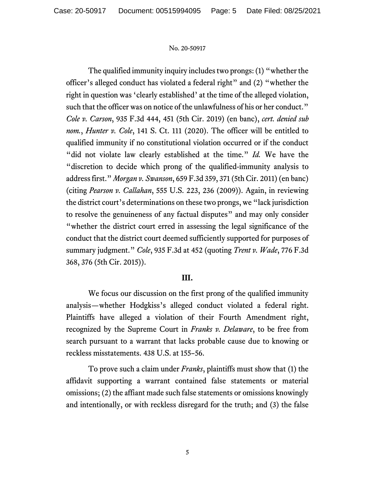The qualified immunity inquiry includes two prongs: (1) "whether the officer's alleged conduct has violated a federal right" and (2) "whether the right in question was 'clearly established' at the time of the alleged violation, such that the officer was on notice of the unlawfulness of his or her conduct." *Cole v. Carson*, 935 F.3d 444, 451 (5th Cir. 2019) (en banc), *cert. denied sub nom.*, *Hunter v. Cole*, 141 S. Ct. 111 (2020). The officer will be entitled to qualified immunity if no constitutional violation occurred or if the conduct "did not violate law clearly established at the time." *Id.* We have the "discretion to decide which prong of the qualified-immunity analysis to address first." *Morgan v. Swanson*, 659 F.3d 359, 371 (5th Cir. 2011) (en banc) (citing *Pearson v. Callahan*, 555 U.S. 223, 236 (2009)). Again, in reviewing the district court's determinations on these two prongs, we "lack jurisdiction to resolve the genuineness of any factual disputes" and may only consider "whether the district court erred in assessing the legal significance of the conduct that the district court deemed sufficiently supported for purposes of summary judgment." *Cole*, 935 F.3d at 452 (quoting *Trent v. Wade*, 776 F.3d 368, 376 (5th Cir. 2015)).

## **III.**

We focus our discussion on the first prong of the qualified immunity analysis—whether Hodgkiss's alleged conduct violated a federal right. Plaintiffs have alleged a violation of their Fourth Amendment right, recognized by the Supreme Court in *Franks v. Delaware*, to be free from search pursuant to a warrant that lacks probable cause due to knowing or reckless misstatements. 438 U.S. at 155–56.

To prove such a claim under *Franks*, plaintiffs must show that (1) the affidavit supporting a warrant contained false statements or material omissions; (2) the affiant made such false statements or omissions knowingly and intentionally, or with reckless disregard for the truth; and (3) the false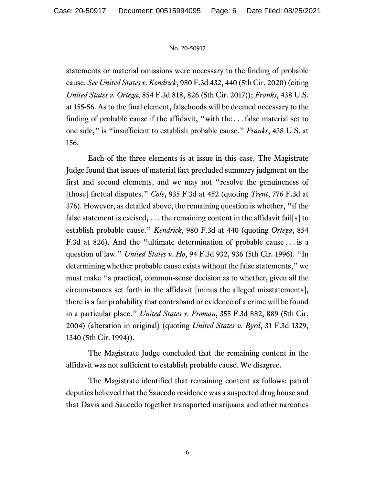statements or material omissions were necessary to the finding of probable cause. *See United States v. Kendrick*, 980 F.3d 432, 440 (5th Cir. 2020) (citing *United States v. Ortega*, 854 F.3d 818, 826 (5th Cir. 2017)); *Franks*, 438 U.S. at 155-56. As to the final element, falsehoods will be deemed necessary to the finding of probable cause if the affidavit, "with the . . . false material set to one side," is "insufficient to establish probable cause." *Franks*, 438 U.S. at 156.

Each of the three elements is at issue in this case. The Magistrate Judge found that issues of material fact precluded summary judgment on the first and second elements, and we may not "resolve the genuineness of [those] factual disputes." *Cole*, 935 F.3d at 452 (quoting *Trent*, 776 F.3d at 376). However, as detailed above, the remaining question is whether, "if the false statement is excised, . . . the remaining content in the affidavit fail[s] to establish probable cause." *Kendrick*, 980 F.3d at 440 (quoting *Ortega*, 854 F.3d at 826). And the "ultimate determination of probable cause . . . is a question of law." *United States v. Ho*, 94 F.3d 932, 936 (5th Cir. 1996). "In determining whether probable cause exists without the false statements," we must make "a practical, common-sense decision as to whether, given all the circumstances set forth in the affidavit [minus the alleged misstatements], there is a fair probability that contraband or evidence of a crime will be found in a particular place." *United States v. Froman*, 355 F.3d 882, 889 (5th Cir. 2004) (alteration in original) (quoting *United States v. Byrd*, 31 F.3d 1329, 1340 (5th Cir. 1994)).

The Magistrate Judge concluded that the remaining content in the affidavit was not sufficient to establish probable cause. We disagree.

The Magistrate identified that remaining content as follows: patrol deputies believed that the Saucedo residence was a suspected drug house and that Davis and Saucedo together transported marijuana and other narcotics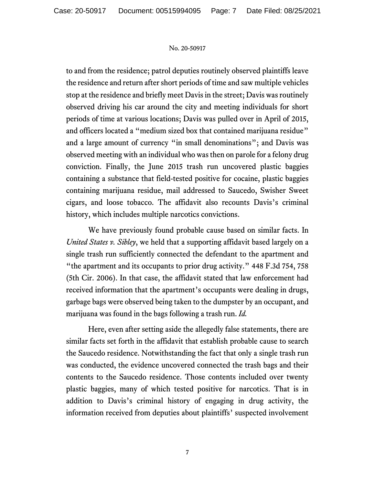to and from the residence; patrol deputies routinely observed plaintiffs leave the residence and return after short periods of time and saw multiple vehicles stop at the residence and briefly meet Davis in the street; Davis was routinely observed driving his car around the city and meeting individuals for short periods of time at various locations; Davis was pulled over in April of 2015, and officers located a "medium sized box that contained marijuana residue" and a large amount of currency "in small denominations"; and Davis was observed meeting with an individual who was then on parole for a felony drug conviction. Finally, the June 2015 trash run uncovered plastic baggies containing a substance that field-tested positive for cocaine, plastic baggies containing marijuana residue, mail addressed to Saucedo, Swisher Sweet cigars, and loose tobacco. The affidavit also recounts Davis's criminal history, which includes multiple narcotics convictions.

We have previously found probable cause based on similar facts. In *United States v. Sibley*, we held that a supporting affidavit based largely on a single trash run sufficiently connected the defendant to the apartment and "the apartment and its occupants to prior drug activity." 448 F.3d 754, 758 (5th Cir. 2006). In that case, the affidavit stated that law enforcement had received information that the apartment's occupants were dealing in drugs, garbage bags were observed being taken to the dumpster by an occupant, and marijuana was found in the bags following a trash run. *Id.*

Here, even after setting aside the allegedly false statements, there are similar facts set forth in the affidavit that establish probable cause to search the Saucedo residence. Notwithstanding the fact that only a single trash run was conducted, the evidence uncovered connected the trash bags and their contents to the Saucedo residence. Those contents included over twenty plastic baggies, many of which tested positive for narcotics. That is in addition to Davis's criminal history of engaging in drug activity, the information received from deputies about plaintiffs' suspected involvement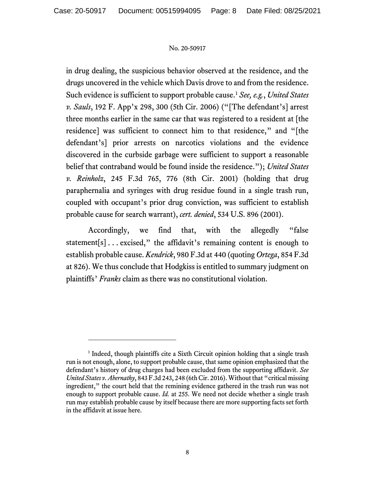in drug dealing, the suspicious behavior observed at the residence, and the drugs uncovered in the vehicle which Davis drove to and from the residence. Such evidence is sufficient to support probable cause.[1](#page-7-0) *See, e.g.*, *United States v. Sauls*, 192 F. App'x 298, 300 (5th Cir. 2006) ("[The defendant's] arrest three months earlier in the same car that was registered to a resident at [the residence] was sufficient to connect him to that residence," and "[the defendant's] prior arrests on narcotics violations and the evidence discovered in the curbside garbage were sufficient to support a reasonable belief that contraband would be found inside the residence."); *United States v. Reinholz*, 245 F.3d 765, 776 (8th Cir. 2001) (holding that drug paraphernalia and syringes with drug residue found in a single trash run, coupled with occupant's prior drug conviction, was sufficient to establish probable cause for search warrant), *cert. denied*, 534 U.S. 896 (2001).

Accordingly, we find that, with the allegedly "false statement[s]... excised," the affidavit's remaining content is enough to establish probable cause. *Kendrick*, 980 F.3d at 440 (quoting *Ortega*, 854 F.3d at 826). We thus conclude that Hodgkiss is entitled to summary judgment on plaintiffs' *Franks* claim as there was no constitutional violation.

<span id="page-7-0"></span><sup>&</sup>lt;sup>1</sup> Indeed, though plaintiffs cite a Sixth Circuit opinion holding that a single trash run is not enough, alone, to support probable cause, that same opinion emphasized that the defendant's history of drug charges had been excluded from the supporting affidavit. *See United States v. Abernathy*, 843 F.3d 243, 248 (6th Cir. 2016). Without that "critical missing ingredient," the court held that the remining evidence gathered in the trash run was not enough to support probable cause. *Id.* at 255. We need not decide whether a single trash run may establish probable cause by itself because there are more supporting facts set forth in the affidavit at issue here.